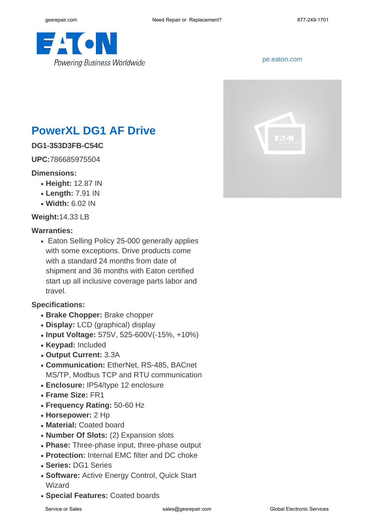

#### <pe.eaton.com>



# **PowerXL DG1 AF Drive**

## **DG1-353D3FB-C54C**

**UPC:**786685975504

#### **Dimensions:**

- **Height:** 12.87 IN
- **Length:** 7.91 IN
- **Width:** 6.02 IN

**Weight:**14.33 LB

#### **Warranties:**

• Eaton Selling Policy 25-000 generally applies with some exceptions. Drive products come with a standard 24 months from date of shipment and 36 months with Eaton certified start up all inclusive coverage parts labor and travel.

### **Specifications:**

- **Brake Chopper:** Brake chopper
- **Display:** LCD (graphical) display
- **Input Voltage:** 575V, 525-600V(-15%, +10%)
- **Keypad:** Included
- **Output Current:** 3.3A
- **Communication: EtherNet, RS-485, BACnet** MS/TP, Modbus TCP and RTU communication
- **Enclosure:** IP54/type 12 enclosure
- **Frame Size:** FR1
- **Frequency Rating:** 50-60 Hz
- **Horsepower:** 2 Hp
- **Material: Coated board**
- **Number Of Slots:** (2) Expansion slots
- Phase: Three-phase input, three-phase output
- **Protection:** Internal EMC filter and DC choke
- **Series:** DG1 Series
- **Software: Active Energy Control, Quick Start** Wizard
- **Special Features:** Coated boards